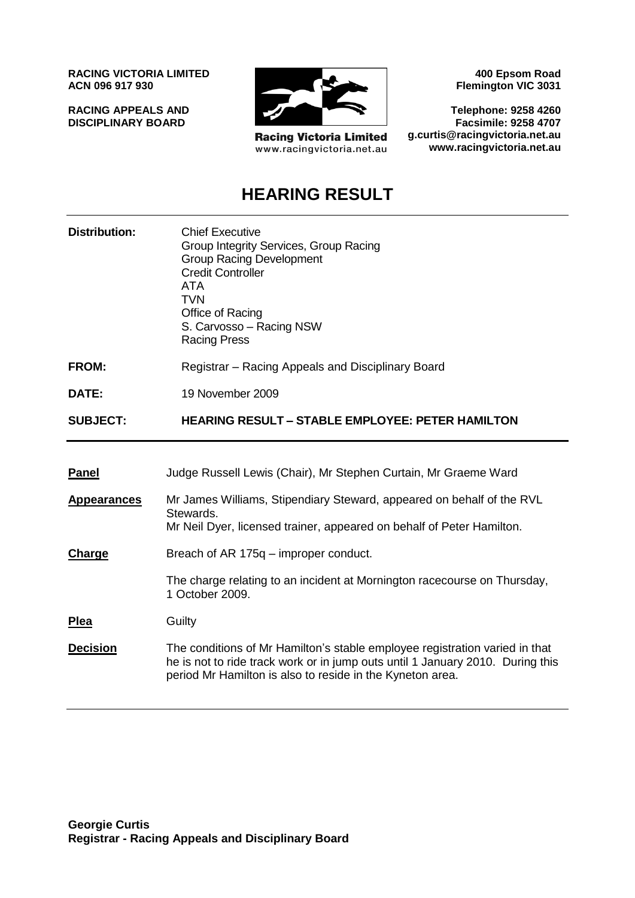**RACING VICTORIA LIMITED ACN 096 917 930**

**RACING APPEALS AND DISCIPLINARY BOARD**



**Racing Victoria Limited** www.racingvictoria.net.au

**400 Epsom Road Flemington VIC 3031**

**Telephone: 9258 4260 Facsimile: 9258 4707 g.curtis@racingvictoria.net.au www.racingvictoria.net.au**

# **HEARING RESULT**

| <b>Distribution:</b> | <b>Chief Executive</b><br>Group Integrity Services, Group Racing<br><b>Group Racing Development</b><br><b>Credit Controller</b><br>ATA<br>TVN<br>Office of Racing<br>S. Carvosso – Racing NSW<br><b>Racing Press</b> |
|----------------------|----------------------------------------------------------------------------------------------------------------------------------------------------------------------------------------------------------------------|
| <b>FROM:</b>         | Registrar - Racing Appeals and Disciplinary Board                                                                                                                                                                    |
| DATE:                | 19 November 2009                                                                                                                                                                                                     |
| <b>SUBJECT:</b>      | <b>HEARING RESULT - STABLE EMPLOYEE: PETER HAMILTON</b>                                                                                                                                                              |
| <b>Panel</b>         | Judge Russell Lewis (Chair), Mr Stephen Curtain, Mr Graeme Ward                                                                                                                                                      |
| <b>Appearances</b>   | Mr James Williams, Stipendiary Steward, appeared on behalf of the RVL<br>Stewards.<br>Mr Neil Dyer, licensed trainer, appeared on behalf of Peter Hamilton.                                                          |
| Charge               | Breach of AR 175q – improper conduct.                                                                                                                                                                                |

The charge relating to an incident at Mornington racecourse on Thursday, 1 October 2009.

**Plea** Guilty

**Decision** The conditions of Mr Hamilton's stable employee registration varied in that he is not to ride track work or in jump outs until 1 January 2010. During this period Mr Hamilton is also to reside in the Kyneton area.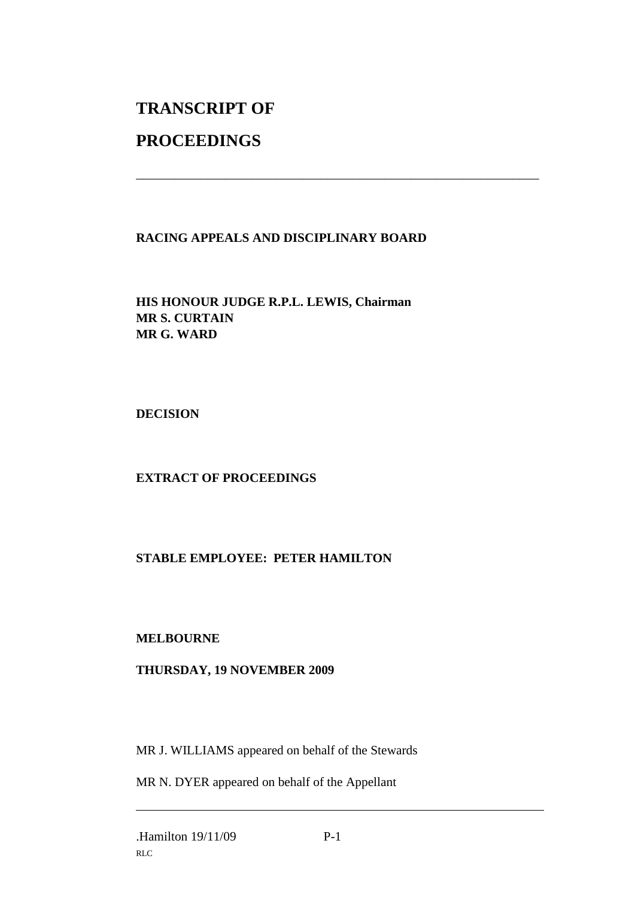# **TRANSCRIPT OF**

# **PROCEEDINGS**

## **RACING APPEALS AND DISCIPLINARY BOARD**

\_\_\_\_\_\_\_\_\_\_\_\_\_\_\_\_\_\_\_\_\_\_\_\_\_\_\_\_\_\_\_\_\_\_\_\_\_\_\_\_\_\_\_\_\_\_\_\_\_\_\_\_\_\_\_\_\_\_\_\_\_\_\_

## **HIS HONOUR JUDGE R.P.L. LEWIS, Chairman MR S. CURTAIN MR G. WARD**

**DECISION**

## **EXTRACT OF PROCEEDINGS**

## **STABLE EMPLOYEE: PETER HAMILTON**

#### **MELBOURNE**

#### **THURSDAY, 19 NOVEMBER 2009**

MR J. WILLIAMS appeared on behalf of the Stewards

MR N. DYER appeared on behalf of the Appellant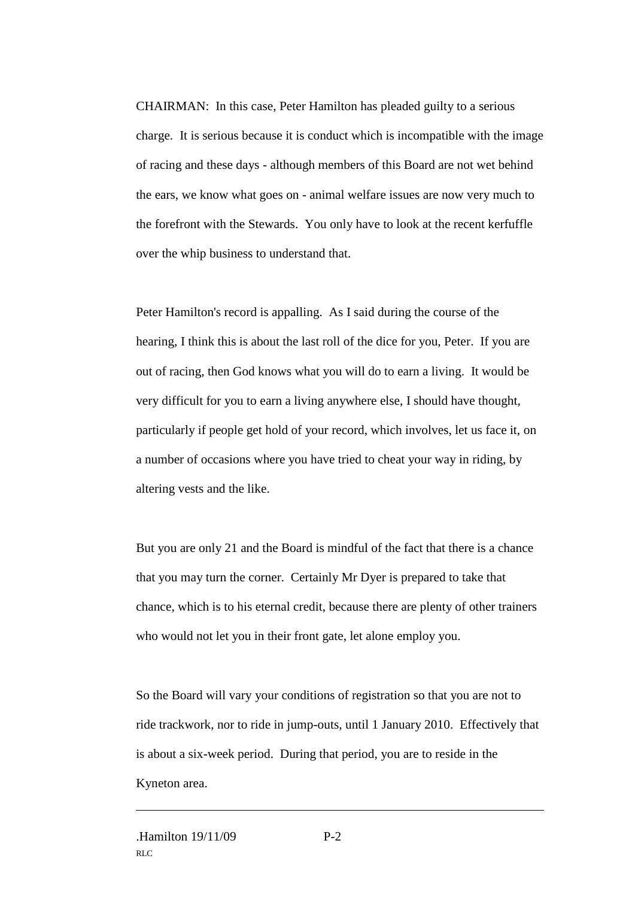CHAIRMAN: In this case, Peter Hamilton has pleaded guilty to a serious charge. It is serious because it is conduct which is incompatible with the image of racing and these days - although members of this Board are not wet behind the ears, we know what goes on - animal welfare issues are now very much to the forefront with the Stewards. You only have to look at the recent kerfuffle over the whip business to understand that.

Peter Hamilton's record is appalling. As I said during the course of the hearing, I think this is about the last roll of the dice for you, Peter. If you are out of racing, then God knows what you will do to earn a living. It would be very difficult for you to earn a living anywhere else, I should have thought, particularly if people get hold of your record, which involves, let us face it, on a number of occasions where you have tried to cheat your way in riding, by altering vests and the like.

But you are only 21 and the Board is mindful of the fact that there is a chance that you may turn the corner. Certainly Mr Dyer is prepared to take that chance, which is to his eternal credit, because there are plenty of other trainers who would not let you in their front gate, let alone employ you.

So the Board will vary your conditions of registration so that you are not to ride trackwork, nor to ride in jump-outs, until 1 January 2010. Effectively that is about a six-week period. During that period, you are to reside in the Kyneton area.